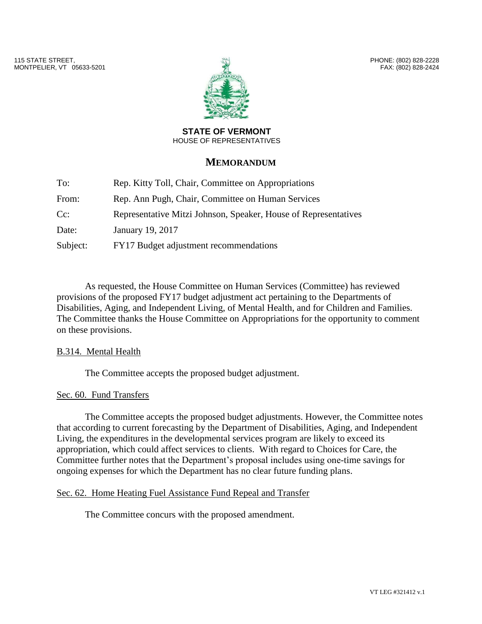

PHONE: (802) 828-2228 FAX: (802) 828-2424

### **STATE OF VERMONT** HOUSE OF REPRESENTATIVES

# **MEMORANDUM**

| To:      | Rep. Kitty Toll, Chair, Committee on Appropriations             |
|----------|-----------------------------------------------------------------|
| From:    | Rep. Ann Pugh, Chair, Committee on Human Services               |
| $Cc$ :   | Representative Mitzi Johnson, Speaker, House of Representatives |
| Date:    | January 19, 2017                                                |
| Subject: | FY17 Budget adjustment recommendations                          |

As requested, the House Committee on Human Services (Committee) has reviewed provisions of the proposed FY17 budget adjustment act pertaining to the Departments of Disabilities, Aging, and Independent Living, of Mental Health, and for Children and Families. The Committee thanks the House Committee on Appropriations for the opportunity to comment on these provisions.

## B.314. Mental Health

The Committee accepts the proposed budget adjustment.

## Sec. 60. Fund Transfers

The Committee accepts the proposed budget adjustments. However, the Committee notes that according to current forecasting by the Department of Disabilities, Aging, and Independent Living, the expenditures in the developmental services program are likely to exceed its appropriation, which could affect services to clients. With regard to Choices for Care, the Committee further notes that the Department's proposal includes using one-time savings for ongoing expenses for which the Department has no clear future funding plans.

## Sec. 62. Home Heating Fuel Assistance Fund Repeal and Transfer

The Committee concurs with the proposed amendment.